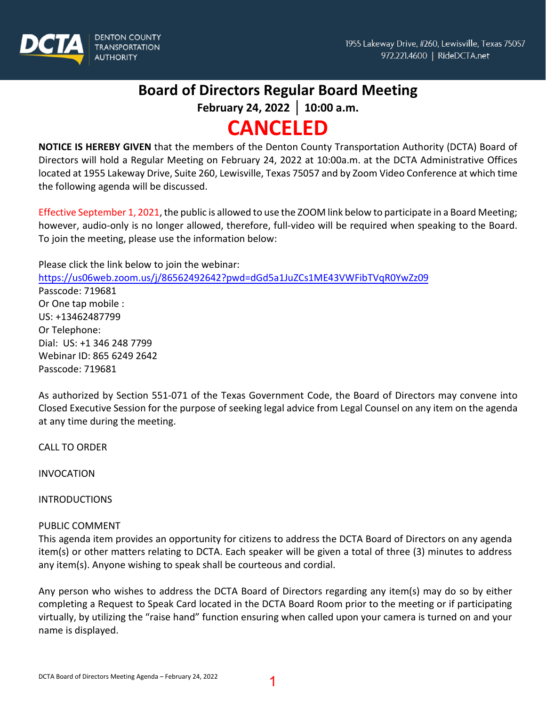

# **Board of Directors Regular Board Meeting**

**February 24, 2022 │ 10:00 a.m.** 

# **CANCELED**

**NOTICE IS HEREBY GIVEN** that the members of the Denton County Transportation Authority (DCTA) Board of Directors will hold a Regular Meeting on February 24, 2022 at 10:00a.m. at the DCTA Administrative Offices located at 1955 Lakeway Drive, Suite 260, Lewisville, Texas 75057 and by Zoom Video Conference at which time the following agenda will be discussed.

Effective September 1, 2021, the public is allowed to use the ZOOM link below to participate in a Board Meeting; however, audio-only is no longer allowed, therefore, full-video will be required when speaking to the Board. To join the meeting, please use the information below:

Please click the link below to join the webinar: <https://us06web.zoom.us/j/86562492642?pwd=dGd5a1JuZCs1ME43VWFibTVqR0YwZz09> Passcode: 719681 Or One tap mobile : US: +13462487799 Or Telephone: Dial: US: +1 346 248 7799 Webinar ID: 865 6249 2642 Passcode: 719681

As authorized by Section 551-071 of the Texas Government Code, the Board of Directors may convene into Closed Executive Session for the purpose of seeking legal advice from Legal Counsel on any item on the agenda at any time during the meeting.

CALL TO ORDER

INVOCATION

INTRODUCTIONS

# PUBLIC COMMENT

This agenda item provides an opportunity for citizens to address the DCTA Board of Directors on any agenda item(s) or other matters relating to DCTA. Each speaker will be given a total of three (3) minutes to address any item(s). Anyone wishing to speak shall be courteous and cordial.

Any person who wishes to address the DCTA Board of Directors regarding any item(s) may do so by either completing a Request to Speak Card located in the DCTA Board Room prior to the meeting or if participating virtually, by utilizing the "raise hand" function ensuring when called upon your camera is turned on and your name is displayed.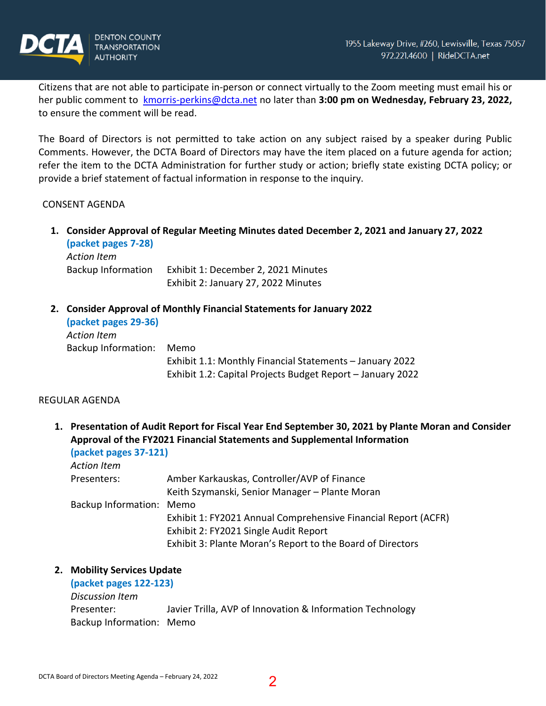

Citizens that are not able to participate in-person or connect virtually to the Zoom meeting must email his or her public comment to [kmorris-perkins@dcta.net](mailto:kmorris-perkins@dcta.net) no later than **3:00 pm on Wednesday, February 23, 2022,** to ensure the comment will be read.

The Board of Directors is not permitted to take action on any subject raised by a speaker during Public Comments. However, the DCTA Board of Directors may have the item placed on a future agenda for action; refer the item to the DCTA Administration for further study or action; briefly state existing DCTA policy; or provide a brief statement of factual information in response to the inquiry.

#### CONSENT AGENDA

**1. Consider Approval of Regular Meeting Minutes dated December 2, 2021 and January 27, 2022 (packet pages 7-28)** 

*Action Item* Backup Information Exhibit 1: December 2, 2021 Minutes Exhibit 2: January 27, 2022 Minutes

**2. Consider Approval of Monthly Financial Statements for January 2022**

| (packet pages 29-36) |                                                            |
|----------------------|------------------------------------------------------------|
| Action Item          |                                                            |
| Backup Information:  | Memo                                                       |
|                      | Exhibit 1.1: Monthly Financial Statements - January 2022   |
|                      | Exhibit 1.2: Capital Projects Budget Report - January 2022 |

#### REGULAR AGENDA

**1. Presentation of Audit Report for Fiscal Year End September 30, 2021 by Plante Moran and Consider Approval of the FY2021 Financial Statements and Supplemental Information**

**(packet pages 37-121)**  *Action Item*

| Action Item              |                                                                |
|--------------------------|----------------------------------------------------------------|
| Presenters:              | Amber Karkauskas, Controller/AVP of Finance                    |
|                          | Keith Szymanski, Senior Manager – Plante Moran                 |
| Backup Information: Memo |                                                                |
|                          | Exhibit 1: FY2021 Annual Comprehensive Financial Report (ACFR) |
|                          | Exhibit 2: FY2021 Single Audit Report                          |
|                          | Exhibit 3: Plante Moran's Report to the Board of Directors     |

#### **2. Mobility Services Update**

| (packet pages 122-123)   |                                                           |
|--------------------------|-----------------------------------------------------------|
| Discussion Item          |                                                           |
| Presenter:               | Javier Trilla, AVP of Innovation & Information Technology |
| Backup Information: Memo |                                                           |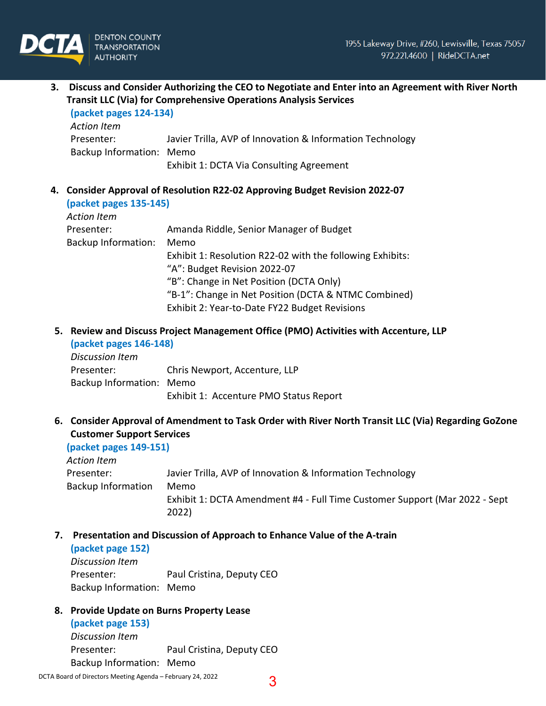

**3. Discuss and Consider Authorizing the CEO to Negotiate and Enter into an Agreement with River North Transit LLC (Via) for Comprehensive Operations Analysis Services (packet pages 124-134)** 

| (packet pages 124-134)   |                                                           |
|--------------------------|-----------------------------------------------------------|
| Action Item              |                                                           |
| Presenter:               | Javier Trilla, AVP of Innovation & Information Technology |
| Backup Information: Memo |                                                           |
|                          | Exhibit 1: DCTA Via Consulting Agreement                  |

**4. Consider Approval of Resolution R22-02 Approving Budget Revision 2022-07 (packet pages 135-145)**  *Action Item*

| ACUOILICIII                |                                                           |
|----------------------------|-----------------------------------------------------------|
| Presenter:                 | Amanda Riddle, Senior Manager of Budget                   |
| <b>Backup Information:</b> | Memo                                                      |
|                            | Exhibit 1: Resolution R22-02 with the following Exhibits: |
|                            | "A": Budget Revision 2022-07                              |
|                            | "B": Change in Net Position (DCTA Only)                   |
|                            | "B-1": Change in Net Position (DCTA & NTMC Combined)      |
|                            | Exhibit 2: Year-to-Date FY22 Budget Revisions             |
|                            |                                                           |

# **5. Review and Discuss Project Management Office (PMO) Activities with Accenture, LLP (packet pages 146-148)**

| Discussion Item          |                                        |
|--------------------------|----------------------------------------|
| Presenter:               | Chris Newport, Accenture, LLP          |
| Backup Information: Memo |                                        |
|                          | Exhibit 1: Accenture PMO Status Report |

**6. Consider Approval of Amendment to Task Order with River North Transit LLC (Via) Regarding GoZone Customer Support Services**

**(packet pages 149-151)**  *Action Item* Presenter: Javier Trilla, AVP of Innovation & Information Technology Backup Information Memo Exhibit 1: DCTA Amendment #4 - Full Time Customer Support (Mar 2022 - Sept  $(2022)$ 

# **7. Presentation and Discussion of Approach to Enhance Value of the A-train**

#### **(packet page 152)**

*Discussion Item* Presenter:Paul Cristina, Deputy CEO Backup Information: Memo

# **8. Provide Update on Burns Property Lease**

**(packet page 153)**  *Discussion Item* Presenter: Paul Cristina, Deputy CEO Backup Information: Memo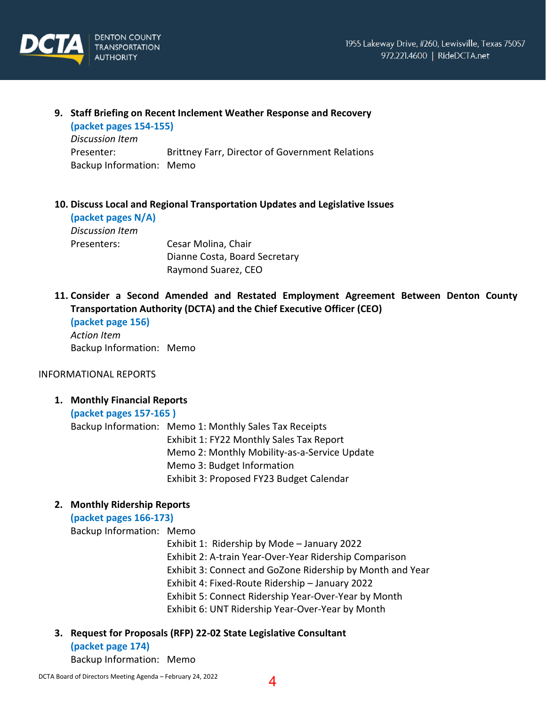

# **9. Staff Briefing on Recent Inclement Weather Response and Recovery (packet pages 154-155)**  *Discussion Item* Presenter: Brittney Farr, Director of Government Relations Backup Information: Memo

# **10. Discuss Local and Regional Transportation Updates and Legislative Issues**

| (packet pages N/A) |                               |
|--------------------|-------------------------------|
| Discussion Item    |                               |
| Presenters:        | Cesar Molina, Chair           |
|                    | Dianne Costa, Board Secretary |
|                    | Raymond Suarez, CEO           |

**11. Consider a Second Amended and Restated Employment Agreement Between Denton County Transportation Authority (DCTA) and the Chief Executive Officer (CEO)** 

```
(packet page 156) 
Action Item
Backup Information: Memo
```
#### INFORMATIONAL REPORTS

**1. Monthly Financial Reports**

**(packet pages 157-165 )**

Backup Information: Memo 1: Monthly Sales Tax Receipts Exhibit 1: FY22 Monthly Sales Tax Report Memo 2: Monthly Mobility-as-a-Service Update Memo 3: Budget Information Exhibit 3: Proposed FY23 Budget Calendar

# **2. Monthly Ridership Reports**

**(packet pages 166-173)** 

Backup Information: Memo

Exhibit 1: Ridership by Mode – January 2022 Exhibit 2: A-train Year-Over-Year Ridership Comparison Exhibit 3: Connect and GoZone Ridership by Month and Year Exhibit 4: Fixed-Route Ridership – January 2022 Exhibit 5: Connect Ridership Year-Over-Year by Month Exhibit 6: UNT Ridership Year-Over-Year by Month

- 
- **3. Request for Proposals (RFP) 22-02 State Legislative Consultant**

**(packet page 174)**  Backup Information: Memo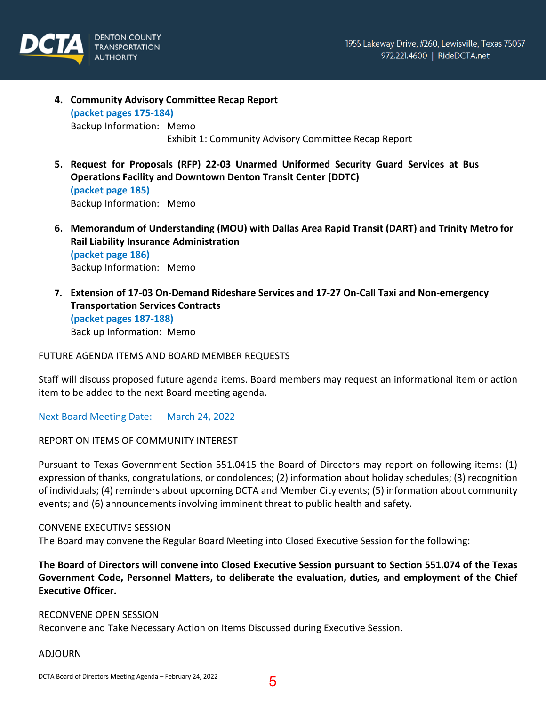

- **4. Community Advisory Committee Recap Report (packet pages 175-184)**  Backup Information: Memo Exhibit 1: Community Advisory Committee Recap Report
- **5. Request for Proposals (RFP) 22-03 Unarmed Uniformed Security Guard Services at Bus Operations Facility and Downtown Denton Transit Center (DDTC) (packet page 185)**  Backup Information: Memo
- **6. Memorandum of Understanding (MOU) with Dallas Area Rapid Transit (DART) and Trinity Metro for Rail Liability Insurance Administration (packet page 186)**  Backup Information: Memo
- **7. Extension of 17-03 On-Demand Rideshare Services and 17-27 On-Call Taxi and Non-emergency Transportation Services Contracts (packet pages 187-188)** Back up Information: Memo

FUTURE AGENDA ITEMS AND BOARD MEMBER REQUESTS

Staff will discuss proposed future agenda items. Board members may request an informational item or action item to be added to the next Board meeting agenda.

Next Board Meeting Date: March 24, 2022

REPORT ON ITEMS OF COMMUNITY INTEREST

Pursuant to Texas Government Section 551.0415 the Board of Directors may report on following items: (1) expression of thanks, congratulations, or condolences; (2) information about holiday schedules; (3) recognition of individuals; (4) reminders about upcoming DCTA and Member City events; (5) information about community events; and (6) announcements involving imminent threat to public health and safety.

#### CONVENE EXECUTIVE SESSION

The Board may convene the Regular Board Meeting into Closed Executive Session for the following:

**The Board of Directors will convene into Closed Executive Session pursuant to Section 551.074 of the Texas Government Code, Personnel Matters, to deliberate the evaluation, duties, and employment of the Chief Executive Officer.**

RECONVENE OPEN SESSION Reconvene and Take Necessary Action on Items Discussed during Executive Session.

#### ADJOURN